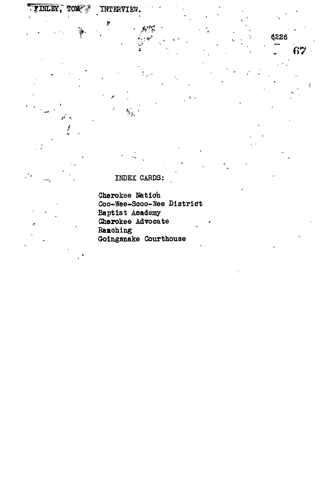INDEX CARDS:

 $\hat{A}$  $\mathbf{i}$ 

INTERVIEW.

 $\phi^{\prime}$ 

6226

67

TINLEY,

**TOM A** 

Cherokee Nation Coo-Wee-Scoo-Wee District Baptist Academy<br>Cherokee Advocate Ranching Goingsnake Courthouse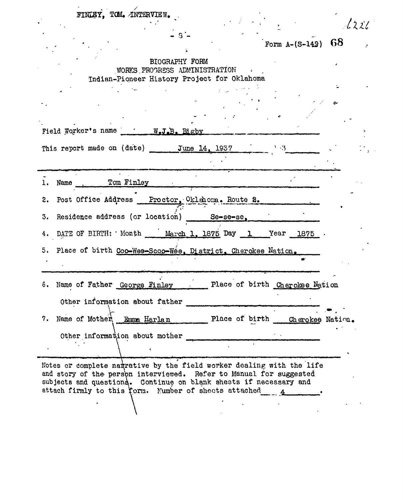|  | FINLEY, TOM. INTERVIEW. |  |
|--|-------------------------|--|
|  |                         |  |

Form  $A-(S-149)$  68

 $\mathbb{R}^{\mathbb{Z}_2}$ 

 $1221$ 

# BIOGRAPHY FORM WORKS.PROGRESS ADMINISTRATION Indian-Pioneer History Project for Oklahoma

Field Worker's name W.J.B. Bigby

This report made on (date) June 14, 1957

1. Name Tom Finley

2. Post Office Address Proctor, Oklahoma. Route 2.

3. Residence address (or location) Se-se-se,

 $\mathcal{L}^{\text{max}}_{\text{max}}$  and  $\mathcal{L}^{\text{max}}_{\text{max}}$ 

4. DATE OF BIRTH: ' Month March 1, 1875 Day 1 Year 1875 ·

5. Place of birth Coo-Wes-Scoo-Wee. District. Cherokee Nation.

6. Name of Father George Finley Place of birth Cherokee Nation Other information about father **\ , i . • • • . . - . - i ^** 7. Name of Mother Timma Harlan Place of birth Cherokee Nation. Other information about mother " *•*

Notes or complete narrative by the field worker dealing with the life and story of the persbn interviewed. Refer to Manual for suggested subjects and questions. Continue on blank sheets if necessary and attach firmly to this form. Number of sheets attached 4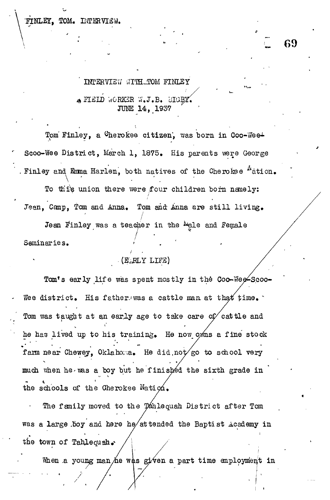FINLEY. TOM. INTERVIEW.

INTERVIEW WITH TOM FINLEY  $_{\clubsuit}$  FIEID WORKER W.J.B. BIGEY. **JUNE 14, 1937** 

Tom Finley, a Cherokee citizen, was born in Coo-Wee<sup>+</sup> Scoo-Wee District, March 1, 1875. His parents were George Finley and Emma Harlen, both natives of the Cherokee <sup>N</sup>ation. **L. 6 9**

To this union there were four children born namely: Jean, Canp, Tom and Anna. Tom and Anna are still living.

**I**

Jean Finley was a teacher in the Male and Female Seminaries.

## (EALY LIFE)

Tom's early life was spent mostly in the Coo-Wee<sup>2</sup>Scoo-Wee district. His father was a cattle man at that time. Tom was taught at an early age to take care of cattle and he has lived up to his training. He now owns a fine stock farm near Chewey, Oklahoma. He did,not go to school very much when he was a boy but he finished the sixth grade in the schools of the Cherokee Nation.

The family moved to the Tahlequah District after Tom was a large .boy and here he/attended the Baptist Academy in a, the town of Tahlequah.

When a young man he was given a part time employment in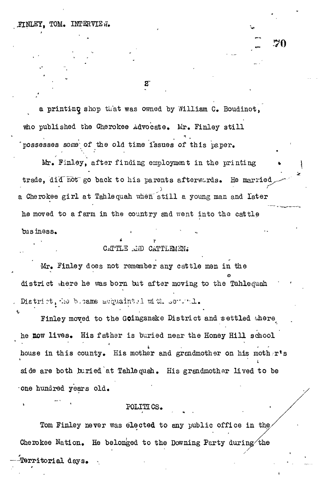\* •

a printing shop that was owned by William C. Boudinot, who published the Cherokee Advocate. Mr. Finley still possesses some of the old time issues of this paper.

 $\mathbf{z}$ 

**I 70**

Mr. Finley, after finding employment in the printing trade, did not go back to his parents afterwords. He married **r** a Cherokee girl at Tahlequah when still a young man and later he moved to a farm in the country and went into the cattle business. *\** ' \* ~

### CATTLE AND CATTLEMEN.

Mr. Finley does not remember any cattle men in the district there he was born but after moving to the Tahlequah District, the b.oame acquaintel with sensoril.

Finley moved to the Goingsnake District and settled there he now lives. His father is buried near the Honey Hill school house in this county. His mother and grandmother on his moth<sub>er's</sub> *\* side are both buried at Tahlequah. His grandmother lived to be one hundred years old.

### POLITICS.

Tom Finley never was elected to any public office in the Cherokee Nation. He belonged to the Downing Party during the -^Territorial days» -.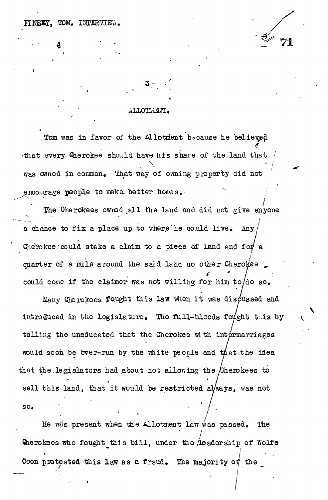HINEEY. TOM. INFERVIEW.

**c**

#### ALLOTMENT.

**3 - .'**

**\* \* \***

Tom was in favor of the Allotment because he believed .that every Cherokee should have his share of the land that was owned in common. That way of owning property did not encourage people to make better homes.

encourage people to make- better homes. "" *j* The Cherokees of  $\mathcal{L}$  the land and did not give and did not give any one give any one give any one give any a chance to fix a place up to where he could live. Anv a chance to fix a place up to  $\mathcal{A}$ Cherokee could stake a claim to a piece of land and for a  $\mathcal{L}_{\text{C}}$  could, stake a claim to a piece of land and for and for and for and for and for and for and for and for and for an quarter of a mile around the said land no other Cherokee quarter of a mile around the said land no other Cherokee *^* could come if the claimer was not willing for him to/do so.

could come if the come if the come if the come if the come if the come if  $\mathcal{E}$ Many Che rokees fought this law when it was discussed and  $\mathcal{M}_{\text{max}}$  of this law when i t was discussed and intervals and intervals and intervals and intervals and intervals and intervals and intervals and intervals and intervals and intervals and intervals and intervals and introduced in the legislature. The full-bloods fought this by introduced in the legislature  $\mathcal{L}_{\text{max}}$ telling the uneducated that the Cherokee with intermarriages telling the uneducated that the uneducated that the  $\mathcal{L}_{\mathcal{A}}$ would soon be over-run by the white people and that the idea would soon by the viiite people and tilat the viiite people and tilat the idea of  $\mathcal{L}_{\mathcal{A}}$ that the legislators had about not allowing the Cherokees to that the contributions had about not allow the yCherokees to the yCherokees to the yCherokees to the yCherokees to the yCherokees to the yCherokees to the yCherokees to the yCherokees to the yCherokees to the yCherokees t sell this land, the restricted always, was not the restricted always, was not the restricted always, was not the restricted always, was not the restricted always, was not the restricted always, was not the restricted alwa

 $SO<sub>o</sub>$ so. ' •

He was present when the Allotment law was passed. The He was present when the Allotment law was passed on the Allotment law was passed. The  $\mu$ Cherokees who fought this bill, under the  $\Lambda$ eadership of Wolfe I Coon protested this law as a fraud. The majority of the